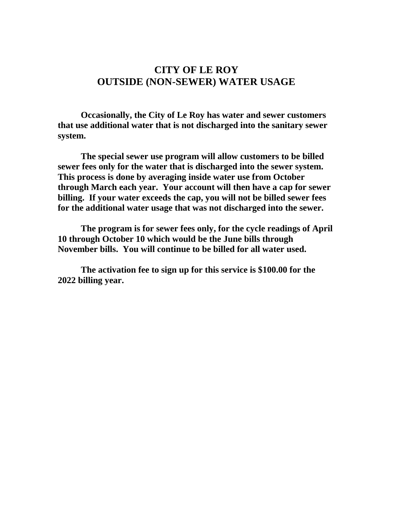## **CITY OF LE ROY OUTSIDE (NON-SEWER) WATER USAGE**

**Occasionally, the City of Le Roy has water and sewer customers that use additional water that is not discharged into the sanitary sewer system.**

**The special sewer use program will allow customers to be billed sewer fees only for the water that is discharged into the sewer system. This process is done by averaging inside water use from October through March each year. Your account will then have a cap for sewer billing. If your water exceeds the cap, you will not be billed sewer fees for the additional water usage that was not discharged into the sewer.**

**The program is for sewer fees only, for the cycle readings of April 10 through October 10 which would be the June bills through November bills. You will continue to be billed for all water used.**

**The activation fee to sign up for this service is \$100.00 for the 2022 billing year.**